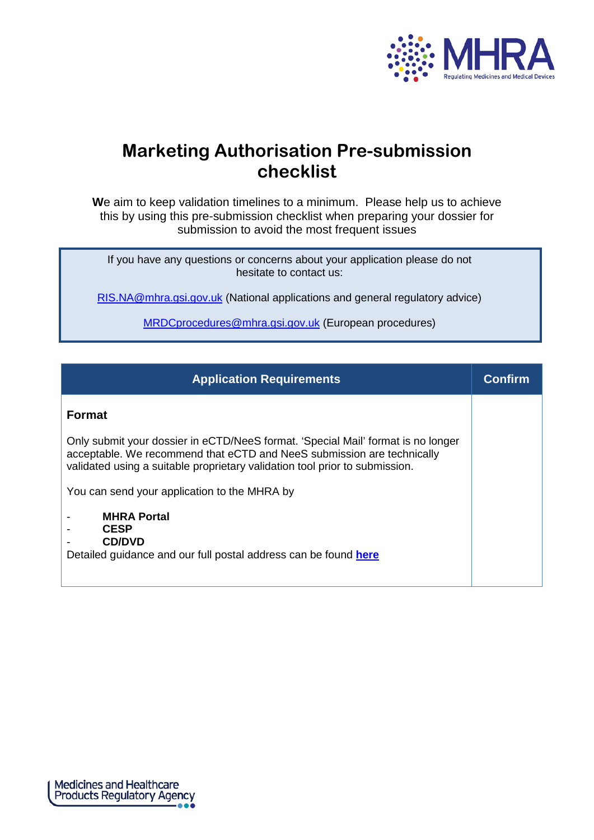

# **Marketing Authorisation Pre-submission checklist**

**W**e aim to keep validation timelines to a minimum. Please help us to achieve this by using this pre-submission checklist when preparing your dossier for submission to avoid the most frequent issues

If you have any questions or concerns about your application please do not hesitate to contact us:

[RIS.NA@mhra.gsi.gov.uk](mailto:RIS.NA@mhra.gsi.gov.uk) (National applications and general regulatory advice)

[MRDCprocedures@mhra.gsi.gov.uk](mailto:MRDCprocedures@mhra.gsi.gov.uk) (European procedures)

| <b>Application Requirements</b>                                                                                                                                                                                                           | Confirm |
|-------------------------------------------------------------------------------------------------------------------------------------------------------------------------------------------------------------------------------------------|---------|
| <b>Format</b>                                                                                                                                                                                                                             |         |
| Only submit your dossier in eCTD/NeeS format. 'Special Mail' format is no longer<br>acceptable. We recommend that eCTD and NeeS submission are technically<br>validated using a suitable proprietary validation tool prior to submission. |         |
| You can send your application to the MHRA by                                                                                                                                                                                              |         |
| <b>MHRA Portal</b><br><b>CESP</b><br><b>CD/DVD</b><br>Detailed guidance and our full postal address can be found here                                                                                                                     |         |

Medicines and Healthcare<br>Products Regulatory Agency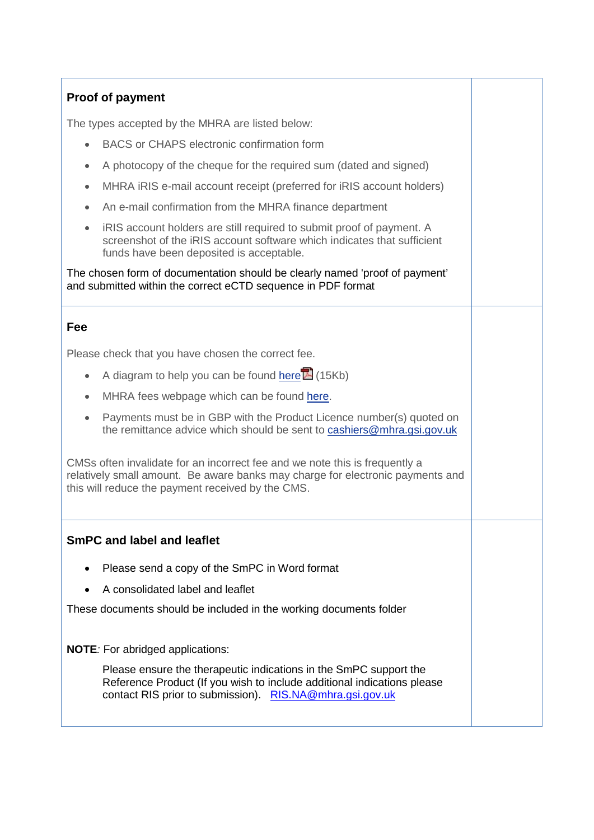## **Proof of payment**

The types accepted by the MHRA are listed below:

- BACS or CHAPS electronic confirmation form
- A photocopy of the cheque for the required sum (dated and signed)
- MHRA iRIS e-mail account receipt (preferred for iRIS account holders)
- An e-mail confirmation from the MHRA finance department
- iRIS account holders are still required to submit proof of payment. A screenshot of the iRIS account software which indicates that sufficient funds have been deposited is acceptable.

The chosen form of documentation should be clearly named 'proof of payment' and submitted within the correct eCTD sequence in PDF format

#### **Fee**

Please check that you have chosen the correct fee.

- A diagram to help you can be found [here](http://www.mhra.gov.uk/home/groups/comms-ic/documents/websiteresources/con316231.pdf)  $\mathbb{E}$  (15Kb)
- MHRA fees webpage which can be found [here.](http://www.mhra.gov.uk/Howweregulate/Medicines/Licensingofmedicines/Feespayablefortheregulationofmedicines/Feesformedicinesbloodestablishmentsandbloodbanks/index.htm)
- Payments must be in GBP with the Product Licence number(s) quoted on the remittance advice which should be sent to [cashiers@mhra.gsi.gov.uk](mailto:cashiers@mhra.gsi.gov.uk)

CMSs often invalidate for an incorrect fee and we note this is frequently a relatively small amount. Be aware banks may charge for electronic payments and this will reduce the payment received by the CMS.

#### **SmPC and label and leaflet**

- Please send a copy of the SmPC in Word format
- A consolidated label and leaflet

These documents should be included in the working documents folder

**NOTE***:* For abridged applications:

Please ensure the therapeutic indications in the SmPC support the Reference Product (If you wish to include additional indications please contact RIS prior to submission). [RIS.NA@mhra.gsi.gov.uk](mailto:RIS.NA@mhra.gsi.gov.uk)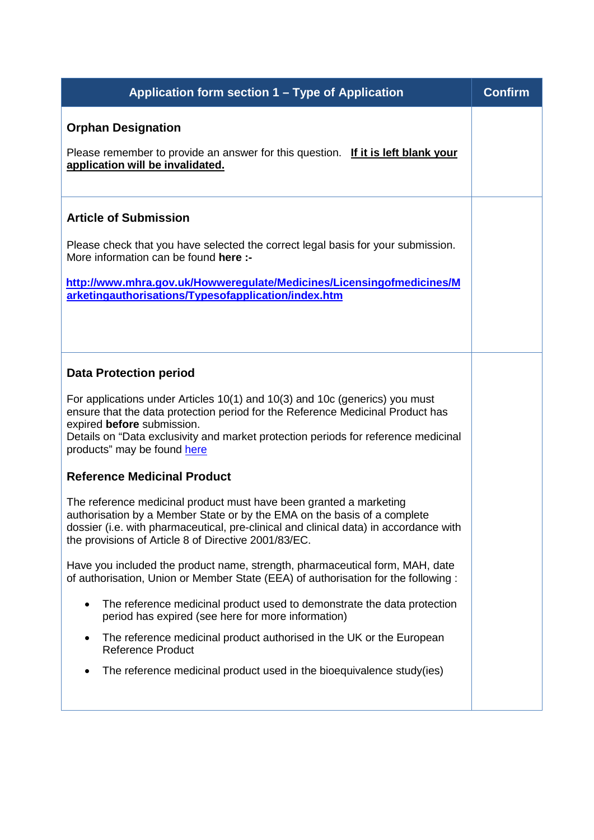| Application form section 1 – Type of Application                                                                                                                                                                                                                                                                 | <b>Confirm</b> |
|------------------------------------------------------------------------------------------------------------------------------------------------------------------------------------------------------------------------------------------------------------------------------------------------------------------|----------------|
| <b>Orphan Designation</b>                                                                                                                                                                                                                                                                                        |                |
| Please remember to provide an answer for this question. If it is left blank your<br>application will be invalidated.                                                                                                                                                                                             |                |
| <b>Article of Submission</b>                                                                                                                                                                                                                                                                                     |                |
| Please check that you have selected the correct legal basis for your submission.<br>More information can be found here :-                                                                                                                                                                                        |                |
| http://www.mhra.gov.uk/Howweregulate/Medicines/Licensingofmedicines/M<br>arketingauthorisations/Typesofapplication/index.htm                                                                                                                                                                                     |                |
| <b>Data Protection period</b>                                                                                                                                                                                                                                                                                    |                |
| For applications under Articles 10(1) and 10(3) and 10c (generics) you must<br>ensure that the data protection period for the Reference Medicinal Product has<br>expired before submission.<br>Details on "Data exclusivity and market protection periods for reference medicinal<br>products" may be found here |                |
| <b>Reference Medicinal Product</b>                                                                                                                                                                                                                                                                               |                |
| The reference medicinal product must have been granted a marketing<br>authorisation by a Member State or by the EMA on the basis of a complete<br>dossier (i.e. with pharmaceutical, pre-clinical and clinical data) in accordance with<br>the provisions of Article 8 of Directive 2001/83/EC.                  |                |
| Have you included the product name, strength, pharmaceutical form, MAH, date<br>of authorisation, Union or Member State (EEA) of authorisation for the following :                                                                                                                                               |                |
| The reference medicinal product used to demonstrate the data protection<br>$\bullet$<br>period has expired (see here for more information)                                                                                                                                                                       |                |
| The reference medicinal product authorised in the UK or the European<br>٠<br><b>Reference Product</b>                                                                                                                                                                                                            |                |
| The reference medicinal product used in the bioequivalence study(ies)                                                                                                                                                                                                                                            |                |
|                                                                                                                                                                                                                                                                                                                  |                |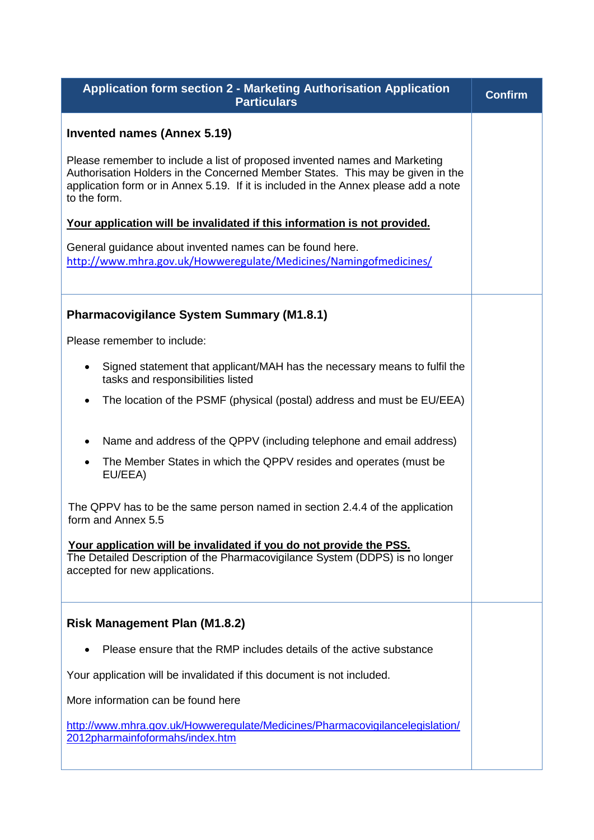| <b>Application form section 2 - Marketing Authorisation Application</b><br><b>Particulars</b>                                                                                                                                                                       | <b>Confirm</b> |
|---------------------------------------------------------------------------------------------------------------------------------------------------------------------------------------------------------------------------------------------------------------------|----------------|
| <b>Invented names (Annex 5.19)</b>                                                                                                                                                                                                                                  |                |
| Please remember to include a list of proposed invented names and Marketing<br>Authorisation Holders in the Concerned Member States. This may be given in the<br>application form or in Annex 5.19. If it is included in the Annex please add a note<br>to the form. |                |
| Your application will be invalidated if this information is not provided.                                                                                                                                                                                           |                |
| General guidance about invented names can be found here.<br>http://www.mhra.gov.uk/Howweregulate/Medicines/Namingofmedicines/                                                                                                                                       |                |
| <b>Pharmacovigilance System Summary (M1.8.1)</b>                                                                                                                                                                                                                    |                |
| Please remember to include:                                                                                                                                                                                                                                         |                |
| Signed statement that applicant/MAH has the necessary means to fulfil the<br>$\bullet$<br>tasks and responsibilities listed                                                                                                                                         |                |
| The location of the PSMF (physical (postal) address and must be EU/EEA)                                                                                                                                                                                             |                |
| Name and address of the QPPV (including telephone and email address)<br>$\bullet$                                                                                                                                                                                   |                |
| The Member States in which the QPPV resides and operates (must be<br>EU/EEA)                                                                                                                                                                                        |                |
| The QPPV has to be the same person named in section 2.4.4 of the application<br>form and Annex 5.5                                                                                                                                                                  |                |
| Your application will be invalidated if you do not provide the PSS.<br>The Detailed Description of the Pharmacovigilance System (DDPS) is no longer<br>accepted for new applications.                                                                               |                |
| <b>Risk Management Plan (M1.8.2)</b>                                                                                                                                                                                                                                |                |
| Please ensure that the RMP includes details of the active substance                                                                                                                                                                                                 |                |
| Your application will be invalidated if this document is not included.                                                                                                                                                                                              |                |
| More information can be found here                                                                                                                                                                                                                                  |                |
| http://www.mhra.gov.uk/Howweregulate/Medicines/Pharmacovigilancelegislation/<br>2012pharmainfoformahs/index.htm                                                                                                                                                     |                |
|                                                                                                                                                                                                                                                                     |                |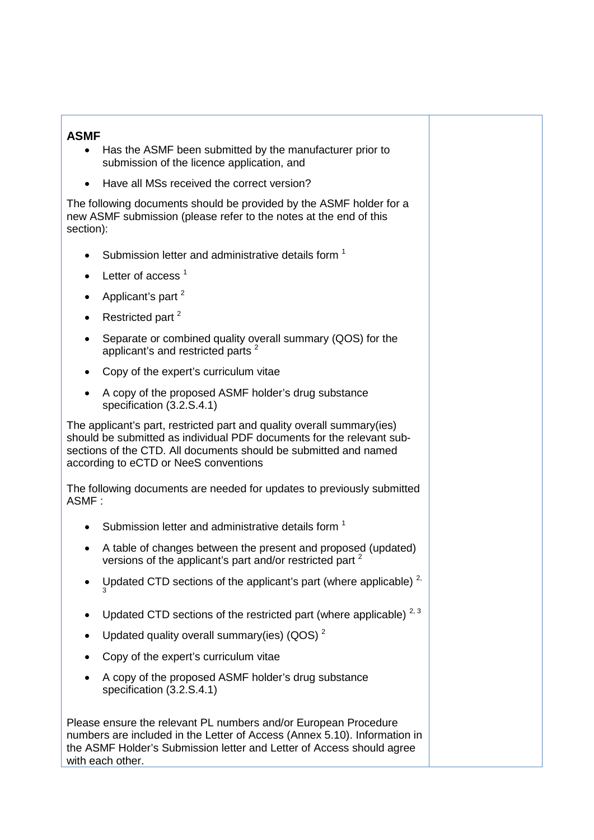### **ASMF**

- Has the ASMF been submitted by the manufacturer prior to submission of the licence application, and
- Have all MSs received the correct version?

The following documents should be provided by the ASMF holder for a new ASMF submission (please refer to the notes at the end of this section):

- Submission letter and administrative details form<sup>1</sup>
- Letter of access  $<sup>1</sup>$ </sup>
- Applicant's part<sup>2</sup>
- Restricted part  $2$
- Separate or combined quality overall summary (QOS) for the applicant's and restricted parts<sup>2</sup>
- Copy of the expert's curriculum vitae
- A copy of the proposed ASMF holder's drug substance specification (3.2.S.4.1)

The applicant's part, restricted part and quality overall summary(ies) should be submitted as individual PDF documents for the relevant subsections of the CTD. All documents should be submitted and named according to eCTD or NeeS conventions

The following documents are needed for updates to previously submitted ASMF :

- Submission letter and administrative details form  $1$
- A table of changes between the present and proposed (updated) versions of the applicant's part and/or restricted part <sup>2</sup>
- Updated CTD sections of the applicant's part (where applicable)  $2^7$ 3
- Updated CTD sections of the restricted part (where applicable)  $2,3$
- Updated quality overall summary(ies) (QOS)<sup>2</sup>
- Copy of the expert's curriculum vitae
- A copy of the proposed ASMF holder's drug substance specification (3.2.S.4.1)

Please ensure the relevant PL numbers and/or European Procedure numbers are included in the Letter of Access (Annex 5.10). Information in the ASMF Holder's Submission letter and Letter of Access should agree with each other.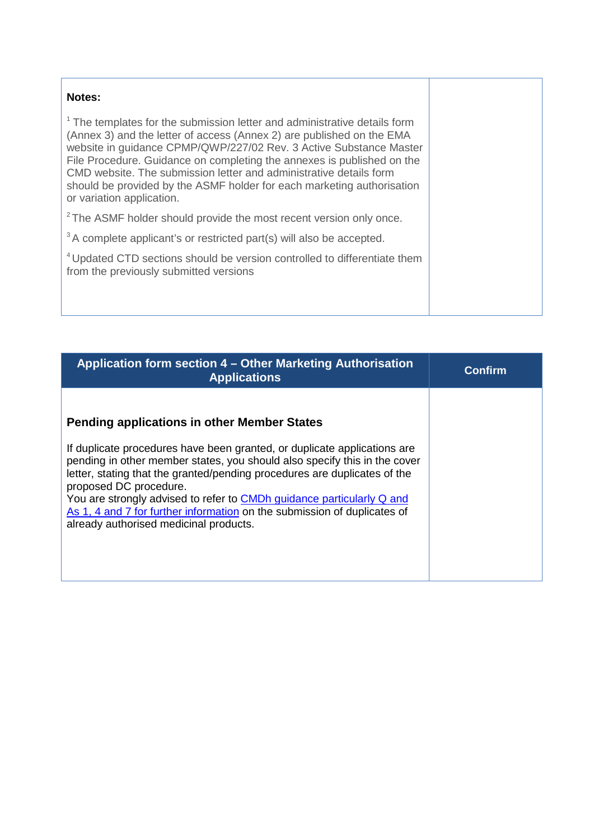| Notes:                                                                                                                                                                                                                                                                                                                                                                                                                                                                                     |  |
|--------------------------------------------------------------------------------------------------------------------------------------------------------------------------------------------------------------------------------------------------------------------------------------------------------------------------------------------------------------------------------------------------------------------------------------------------------------------------------------------|--|
| <sup>1</sup> The templates for the submission letter and administrative details form<br>(Annex 3) and the letter of access (Annex 2) are published on the EMA<br>website in guidance CPMP/QWP/227/02 Rev. 3 Active Substance Master<br>File Procedure. Guidance on completing the annexes is published on the<br>CMD website. The submission letter and administrative details form<br>should be provided by the ASMF holder for each marketing authorisation<br>or variation application. |  |
| <sup>2</sup> The ASMF holder should provide the most recent version only once.                                                                                                                                                                                                                                                                                                                                                                                                             |  |
| <sup>3</sup> A complete applicant's or restricted part(s) will also be accepted.                                                                                                                                                                                                                                                                                                                                                                                                           |  |
| <sup>4</sup> Updated CTD sections should be version controlled to differentiate them<br>from the previously submitted versions                                                                                                                                                                                                                                                                                                                                                             |  |

| Application form section 4 – Other Marketing Authorisation<br><b>Applications</b>                                                                                                                                                                                                                  | <b>Confirm</b> |
|----------------------------------------------------------------------------------------------------------------------------------------------------------------------------------------------------------------------------------------------------------------------------------------------------|----------------|
| <b>Pending applications in other Member States</b><br>If duplicate procedures have been granted, or duplicate applications are<br>pending in other member states, you should also specify this in the cover                                                                                        |                |
| letter, stating that the granted/pending procedures are duplicates of the<br>proposed DC procedure.<br>You are strongly advised to refer to CMDh guidance particularly Q and<br>As 1, 4 and 7 for further information on the submission of duplicates of<br>already authorised medicinal products. |                |
|                                                                                                                                                                                                                                                                                                    |                |